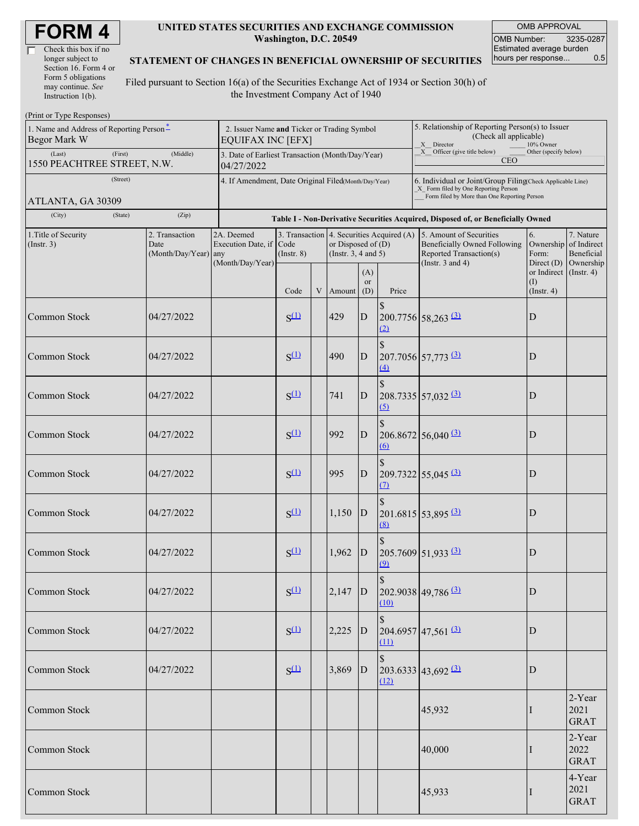| <b>FORM4</b> |
|--------------|
|--------------|

| Check this box if no  |
|-----------------------|
| longer subject to     |
| Section 16. Form 4 or |
| Form 5 obligations    |
| may continue. See     |
| Instruction 1(b).     |

#### **UNITED STATES SECURITIES AND EXCHANGE COMMISSION Washington, D.C. 20549**

OMB APPROVAL OMB Number: 3235-0287 Estimated average burden<br>hours per response... 0.5 hours per response...

### **STATEMENT OF CHANGES IN BENEFICIAL OWNERSHIP OF SECURITIES**

Filed pursuant to Section 16(a) of the Securities Exchange Act of 1934 or Section 30(h) of the Investment Company Act of 1940

| (Print or Type Responses)                                                             |                                                                         |                                                      |                                                                                  |   |                                                                                        |                                                                                                                                                    |                                                                                                       |                                                                                                             |                                        |                                                     |  |
|---------------------------------------------------------------------------------------|-------------------------------------------------------------------------|------------------------------------------------------|----------------------------------------------------------------------------------|---|----------------------------------------------------------------------------------------|----------------------------------------------------------------------------------------------------------------------------------------------------|-------------------------------------------------------------------------------------------------------|-------------------------------------------------------------------------------------------------------------|----------------------------------------|-----------------------------------------------------|--|
| 1. Name and Address of Reporting Person*<br>Begor Mark W                              | 2. Issuer Name and Ticker or Trading Symbol<br><b>EQUIFAX INC [EFX]</b> |                                                      |                                                                                  |   |                                                                                        |                                                                                                                                                    | 5. Relationship of Reporting Person(s) to Issuer<br>(Check all applicable)<br>X Director<br>10% Owner |                                                                                                             |                                        |                                                     |  |
| (First)<br>(Last)<br>1550 PEACHTREE STREET, N.W.                                      | 3. Date of Earliest Transaction (Month/Day/Year)<br>04/27/2022          |                                                      |                                                                                  |   |                                                                                        |                                                                                                                                                    | $X$ Officer (give title below)<br>Other (specify below)<br><b>CEO</b>                                 |                                                                                                             |                                        |                                                     |  |
| (Street)<br>ATLANTA, GA 30309                                                         | 4. If Amendment, Date Original Filed(Month/Day/Year)                    |                                                      |                                                                                  |   |                                                                                        | 6. Individual or Joint/Group Filing(Check Applicable Line)<br>X Form filed by One Reporting Person<br>Form filed by More than One Reporting Person |                                                                                                       |                                                                                                             |                                        |                                                     |  |
| (City)                                                                                | (Zip)<br>(State)                                                        |                                                      | Table I - Non-Derivative Securities Acquired, Disposed of, or Beneficially Owned |   |                                                                                        |                                                                                                                                                    |                                                                                                       |                                                                                                             |                                        |                                                     |  |
| 1. Title of Security<br>2. Transaction<br>(Insert. 3)<br>Date<br>(Month/Day/Year) any |                                                                         | 2A. Deemed<br>Execution Date, if<br>(Month/Day/Year) | Code<br>$($ Instr. $8)$                                                          |   | 3. Transaction 4. Securities Acquired (A)<br>or Disposed of (D)<br>(Instr. 3, 4 and 5) |                                                                                                                                                    |                                                                                                       | 5. Amount of Securities<br>Beneficially Owned Following<br>Reported Transaction(s)<br>(Instr. $3$ and $4$ ) | 6.<br>Ownership<br>Form:<br>Direct (D) | 7. Nature<br>of Indirect<br>Beneficial<br>Ownership |  |
|                                                                                       |                                                                         |                                                      | Code                                                                             | V | Amount                                                                                 | (A)<br>or<br>(D)                                                                                                                                   | Price                                                                                                 |                                                                                                             | or Indirect<br>(I)<br>$($ Instr. 4 $)$ | $($ Instr. 4 $)$                                    |  |
| <b>Common Stock</b>                                                                   | 04/27/2022                                                              |                                                      | $S^{(1)}$                                                                        |   | 429                                                                                    | $\mathbf D$                                                                                                                                        | \$<br>(2)                                                                                             | $200.7756$ 58,263 (3)                                                                                       | D                                      |                                                     |  |
| <b>Common Stock</b>                                                                   | 04/27/2022                                                              |                                                      | $S^{(1)}$                                                                        |   | 490                                                                                    | D                                                                                                                                                  | $\mathbb{S}$<br>(4)                                                                                   | $207.7056$ 57,773 $\frac{(3)}{2}$                                                                           | D                                      |                                                     |  |
| Common Stock                                                                          | 04/27/2022                                                              |                                                      | $S^{(1)}$                                                                        |   | 741                                                                                    | D                                                                                                                                                  | $\mathcal{S}$<br>(5)                                                                                  | $208.7335$ 57,032 $\frac{(3)}{2}$                                                                           | D                                      |                                                     |  |
| Common Stock                                                                          | 04/27/2022                                                              |                                                      | $S^{(1)}$                                                                        |   | 992                                                                                    | D                                                                                                                                                  | $\mathcal{S}$<br>6                                                                                    | $206.8672$ 56,040 (3)                                                                                       | D                                      |                                                     |  |
| <b>Common Stock</b>                                                                   | 04/27/2022                                                              |                                                      | $S^{(1)}$                                                                        |   | 995                                                                                    | D                                                                                                                                                  | \$<br>(7)                                                                                             | $209.7322$ 55,045 (3)                                                                                       | D                                      |                                                     |  |
| Common Stock                                                                          | 04/27/2022                                                              |                                                      | $S^{(1)}$                                                                        |   | 1,150                                                                                  | $\overline{D}$                                                                                                                                     | $\mathbb{S}$<br>(8)                                                                                   | $201.6815$ 53,895 (3)                                                                                       | D                                      |                                                     |  |
| Common Stock                                                                          | 04/27/2022                                                              |                                                      | $S^{(1)}$                                                                        |   | 1,962                                                                                  | $\mathbf D$                                                                                                                                        | \$<br>(9)                                                                                             | $205.7609$ 51,933 (3)                                                                                       | D                                      |                                                     |  |
| Common Stock                                                                          | 04/27/2022                                                              |                                                      | $S^{(1)}$                                                                        |   | $2,147$ D                                                                              |                                                                                                                                                    | $\mathbb S$<br>(10)                                                                                   | $202.9038$ 49,786 (3)                                                                                       | D                                      |                                                     |  |
| Common Stock                                                                          | 04/27/2022                                                              |                                                      | $S^{(1)}$                                                                        |   | $2,225$ D                                                                              |                                                                                                                                                    | (11)                                                                                                  | $204.6957$ 47,561 $\frac{(3)}{2}$                                                                           | D                                      |                                                     |  |
| Common Stock                                                                          | 04/27/2022                                                              |                                                      | $S^{(1)}$                                                                        |   | 3,869                                                                                  | D                                                                                                                                                  | $\mathbb{S}$<br>(12)                                                                                  | 203.6333   43.692   31                                                                                      | D                                      |                                                     |  |
| Common Stock                                                                          |                                                                         |                                                      |                                                                                  |   |                                                                                        |                                                                                                                                                    |                                                                                                       | 45,932                                                                                                      |                                        | 2-Year<br>2021<br><b>GRAT</b>                       |  |
| Common Stock                                                                          |                                                                         |                                                      |                                                                                  |   |                                                                                        |                                                                                                                                                    |                                                                                                       | 40,000                                                                                                      |                                        | 2-Year<br>2022<br><b>GRAT</b>                       |  |
| Common Stock                                                                          |                                                                         |                                                      |                                                                                  |   |                                                                                        |                                                                                                                                                    |                                                                                                       | 45,933                                                                                                      |                                        | 4-Year<br>2021<br><b>GRAT</b>                       |  |